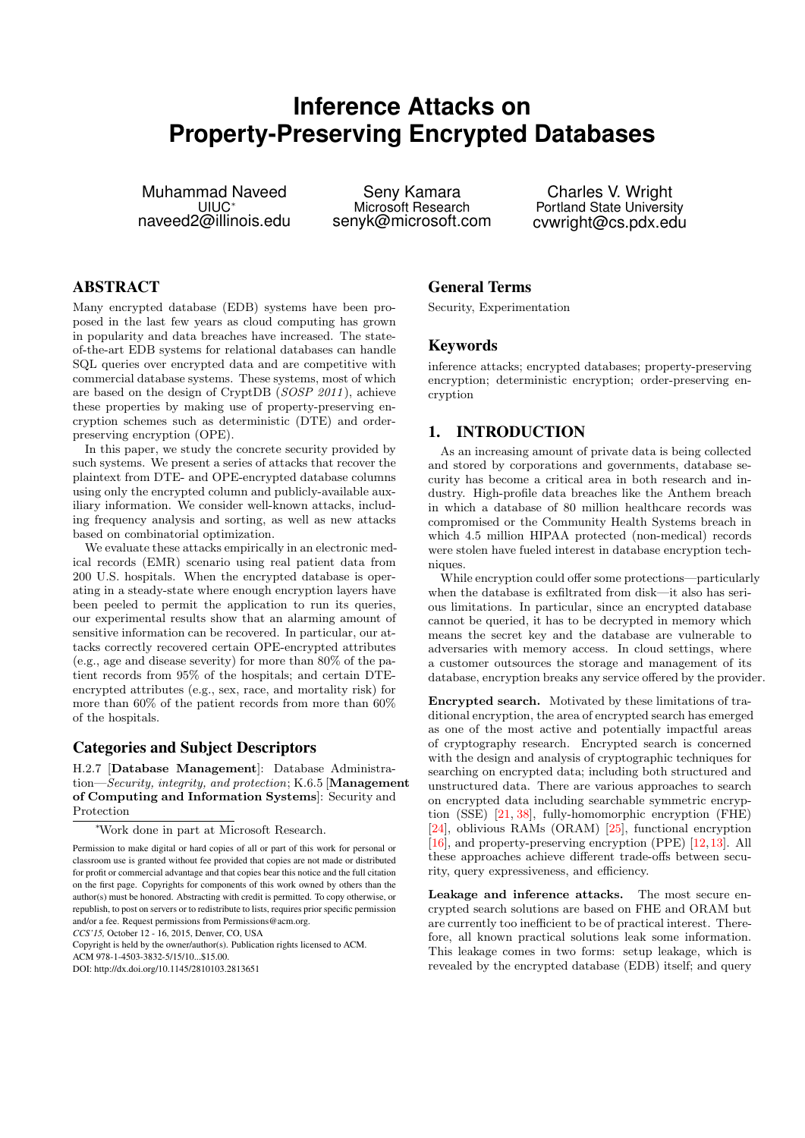# <span id="page-0-0"></span>**Inference Attacks on Property-Preserving Encrypted Databases**

Muhammad Naveed UIUC<sup>∗</sup> naveed2@illinois.edu

Seny Kamara Microsoft Research senyk@microsoft.com

Charles V. Wright Portland State University cvwright@cs.pdx.edu

# ABSTRACT

Many encrypted database (EDB) systems have been proposed in the last few years as cloud computing has grown in popularity and data breaches have increased. The stateof-the-art EDB systems for relational databases can handle SQL queries over encrypted data and are competitive with commercial database systems. These systems, most of which are based on the design of CryptDB (SOSP 2011 ), achieve these properties by making use of property-preserving encryption schemes such as deterministic (DTE) and orderpreserving encryption (OPE).

In this paper, we study the concrete security provided by such systems. We present a series of attacks that recover the plaintext from DTE- and OPE-encrypted database columns using only the encrypted column and publicly-available auxiliary information. We consider well-known attacks, including frequency analysis and sorting, as well as new attacks based on combinatorial optimization.

We evaluate these attacks empirically in an electronic medical records (EMR) scenario using real patient data from 200 U.S. hospitals. When the encrypted database is operating in a steady-state where enough encryption layers have been peeled to permit the application to run its queries, our experimental results show that an alarming amount of sensitive information can be recovered. In particular, our attacks correctly recovered certain OPE-encrypted attributes (e.g., age and disease severity) for more than 80% of the patient records from 95% of the hospitals; and certain DTEencrypted attributes (e.g., sex, race, and mortality risk) for more than 60% of the patient records from more than 60% of the hospitals.

### Categories and Subject Descriptors

H.2.7 [Database Management]: Database Administration—Security, integrity, and protection; K.6.5 [Management of Computing and Information Systems]: Security and Protection

*CCS'15,* October 12 - 16, 2015, Denver, CO, USA

Copyright is held by the owner/author(s). Publication rights licensed to ACM.

ACM 978-1-4503-3832-5/15/10...\$15.00.

### General Terms

Security, Experimentation

#### Keywords

inference attacks; encrypted databases; property-preserving encryption; deterministic encryption; order-preserving encryption

#### 1. INTRODUCTION

As an increasing amount of private data is being collected and stored by corporations and governments, database security has become a critical area in both research and industry. High-profile data breaches like the Anthem breach in which a database of 80 million healthcare records was compromised or the Community Health Systems breach in which 4.5 million HIPAA protected (non-medical) records were stolen have fueled interest in database encryption techniques.

While encryption could offer some protections—particularly when the database is exfiltrated from disk—it also has serious limitations. In particular, since an encrypted database cannot be queried, it has to be decrypted in memory which means the secret key and the database are vulnerable to adversaries with memory access. In cloud settings, where a customer outsources the storage and management of its database, encryption breaks any service offered by the provider.

Encrypted search. Motivated by these limitations of traditional encryption, the area of encrypted search has emerged as one of the most active and potentially impactful areas of cryptography research. Encrypted search is concerned with the design and analysis of cryptographic techniques for searching on encrypted data; including both structured and unstructured data. There are various approaches to search on encrypted data including searchable symmetric encryption (SSE) [\[21,](#page-11-0) [38\]](#page-12-0), fully-homomorphic encryption (FHE) [\[24\]](#page-11-1), oblivious RAMs (ORAM) [\[25\]](#page-11-2), functional encryption [\[16\]](#page-11-3), and property-preserving encryption (PPE) [\[12,](#page-11-4)[13\]](#page-11-5). All these approaches achieve different trade-offs between security, query expressiveness, and efficiency.

Leakage and inference attacks. The most secure encrypted search solutions are based on FHE and ORAM but are currently too inefficient to be of practical interest. Therefore, all known practical solutions leak some information. This leakage comes in two forms: setup leakage, which is revealed by the encrypted database (EDB) itself; and query

<sup>∗</sup>Work done in part at Microsoft Research.

Permission to make digital or hard copies of all or part of this work for personal or classroom use is granted without fee provided that copies are not made or distributed for profit or commercial advantage and that copies bear this notice and the full citation on the first page. Copyrights for components of this work owned by others than the author(s) must be honored. Abstracting with credit is permitted. To copy otherwise, or republish, to post on servers or to redistribute to lists, requires prior specific permission and/or a fee. Request permissions from Permissions@acm.org.

DOI: http://dx.doi.org/10.1145/2810103.2813651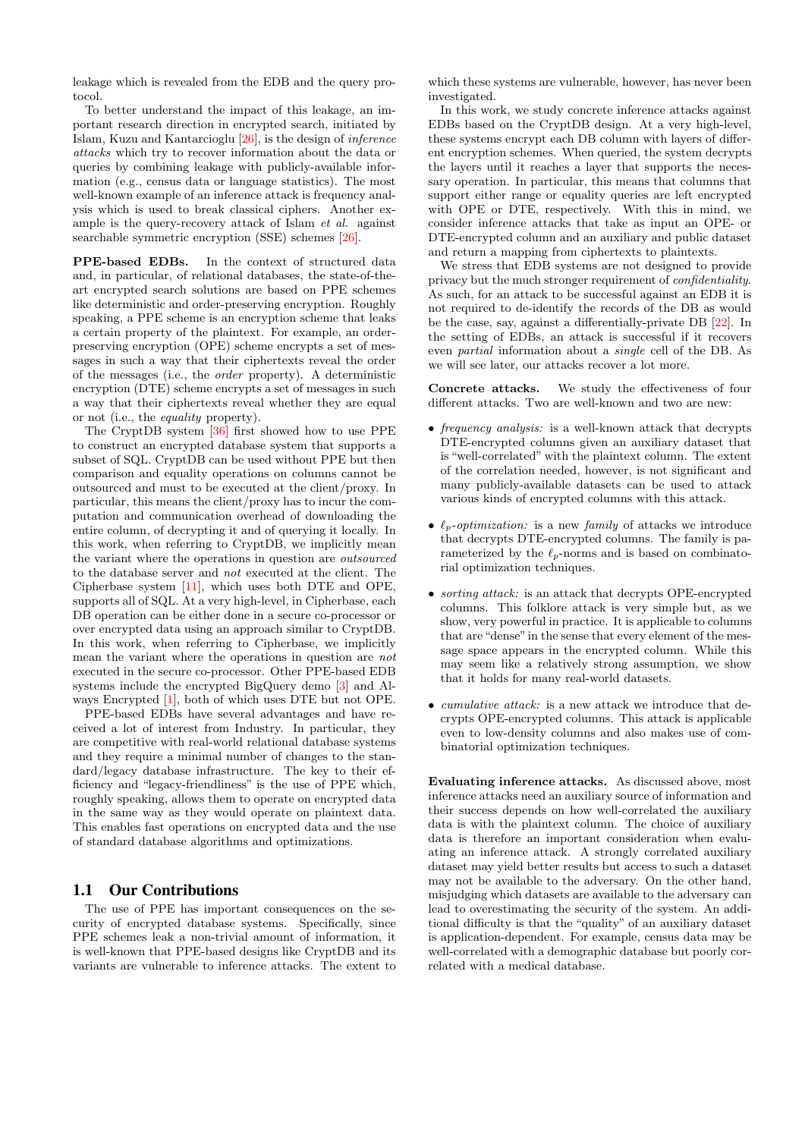leakage which is revealed from the EDB and the query protocol.

To better understand the impact of this leakage, an important research direction in encrypted search, initiated by Islam, Kuzu and Kantarcioglu [\[26\]](#page-11-6), is the design of inference attacks which try to recover information about the data or queries by combining leakage with publicly-available information (e.g., census data or language statistics). The most well-known example of an inference attack is frequency analysis which is used to break classical ciphers. Another example is the query-recovery attack of Islam et al. against searchable symmetric encryption (SSE) schemes [\[26\]](#page-11-6).

PPE-based EDBs. In the context of structured data and, in particular, of relational databases, the state-of-theart encrypted search solutions are based on PPE schemes like deterministic and order-preserving encryption. Roughly speaking, a PPE scheme is an encryption scheme that leaks a certain property of the plaintext. For example, an orderpreserving encryption (OPE) scheme encrypts a set of messages in such a way that their ciphertexts reveal the order of the messages (i.e., the order property). A deterministic encryption (DTE) scheme encrypts a set of messages in such a way that their ciphertexts reveal whether they are equal or not (i.e., the equality property).

The CryptDB system [\[36\]](#page-12-1) first showed how to use PPE to construct an encrypted database system that supports a subset of SQL. CryptDB can be used without PPE but then comparison and equality operations on columns cannot be outsourced and must to be executed at the client/proxy. In particular, this means the client/proxy has to incur the computation and communication overhead of downloading the entire column, of decrypting it and of querying it locally. In this work, when referring to CryptDB, we implicitly mean the variant where the operations in question are outsourced to the database server and not executed at the client. The Cipherbase system [\[11\]](#page-11-7), which uses both DTE and OPE, supports all of SQL. At a very high-level, in Cipherbase, each DB operation can be either done in a secure co-processor or over encrypted data using an approach similar to CryptDB. In this work, when referring to Cipherbase, we implicitly mean the variant where the operations in question are not executed in the secure co-processor. Other PPE-based EDB systems include the encrypted BigQuery demo [\[3\]](#page-11-8) and Always Encrypted [\[1\]](#page-11-9), both of which uses DTE but not OPE.

PPE-based EDBs have several advantages and have received a lot of interest from Industry. In particular, they are competitive with real-world relational database systems and they require a minimal number of changes to the standard/legacy database infrastructure. The key to their efficiency and "legacy-friendliness" is the use of PPE which, roughly speaking, allows them to operate on encrypted data in the same way as they would operate on plaintext data. This enables fast operations on encrypted data and the use of standard database algorithms and optimizations.

### 1.1 Our Contributions

The use of PPE has important consequences on the security of encrypted database systems. Specifically, since PPE schemes leak a non-trivial amount of information, it is well-known that PPE-based designs like CryptDB and its variants are vulnerable to inference attacks. The extent to

which these systems are vulnerable, however, has never been investigated.

In this work, we study concrete inference attacks against EDBs based on the CryptDB design. At a very high-level, these systems encrypt each DB column with layers of different encryption schemes. When queried, the system decrypts the layers until it reaches a layer that supports the necessary operation. In particular, this means that columns that support either range or equality queries are left encrypted with OPE or DTE, respectively. With this in mind, we consider inference attacks that take as input an OPE- or DTE-encrypted column and an auxiliary and public dataset and return a mapping from ciphertexts to plaintexts.

We stress that EDB systems are not designed to provide privacy but the much stronger requirement of confidentiality. As such, for an attack to be successful against an EDB it is not required to de-identify the records of the DB as would be the case, say, against a differentially-private DB [\[22\]](#page-11-10). In the setting of EDBs, an attack is successful if it recovers even partial information about a single cell of the DB. As we will see later, our attacks recover a lot more.

Concrete attacks. We study the effectiveness of four different attacks. Two are well-known and two are new:

- frequency analysis: is a well-known attack that decrypts DTE-encrypted columns given an auxiliary dataset that is "well-correlated" with the plaintext column. The extent of the correlation needed, however, is not significant and many publicly-available datasets can be used to attack various kinds of encrypted columns with this attack.
- $\ell_p$ -optimization: is a new family of attacks we introduce that decrypts DTE-encrypted columns. The family is parameterized by the  $\ell_p$ -norms and is based on combinatorial optimization techniques.
- $\bullet\$   $sorting$   $attack:$  is an attack that decrypts OPE-encrypted columns. This folklore attack is very simple but, as we show, very powerful in practice. It is applicable to columns that are "dense"in the sense that every element of the message space appears in the encrypted column. While this may seem like a relatively strong assumption, we show that it holds for many real-world datasets.
- *cumulative attack:* is a new attack we introduce that decrypts OPE-encrypted columns. This attack is applicable even to low-density columns and also makes use of combinatorial optimization techniques.

Evaluating inference attacks. As discussed above, most inference attacks need an auxiliary source of information and their success depends on how well-correlated the auxiliary data is with the plaintext column. The choice of auxiliary data is therefore an important consideration when evaluating an inference attack. A strongly correlated auxiliary dataset may yield better results but access to such a dataset may not be available to the adversary. On the other hand, misjudging which datasets are available to the adversary can lead to overestimating the security of the system. An additional difficulty is that the "quality" of an auxiliary dataset is application-dependent. For example, census data may be well-correlated with a demographic database but poorly correlated with a medical database.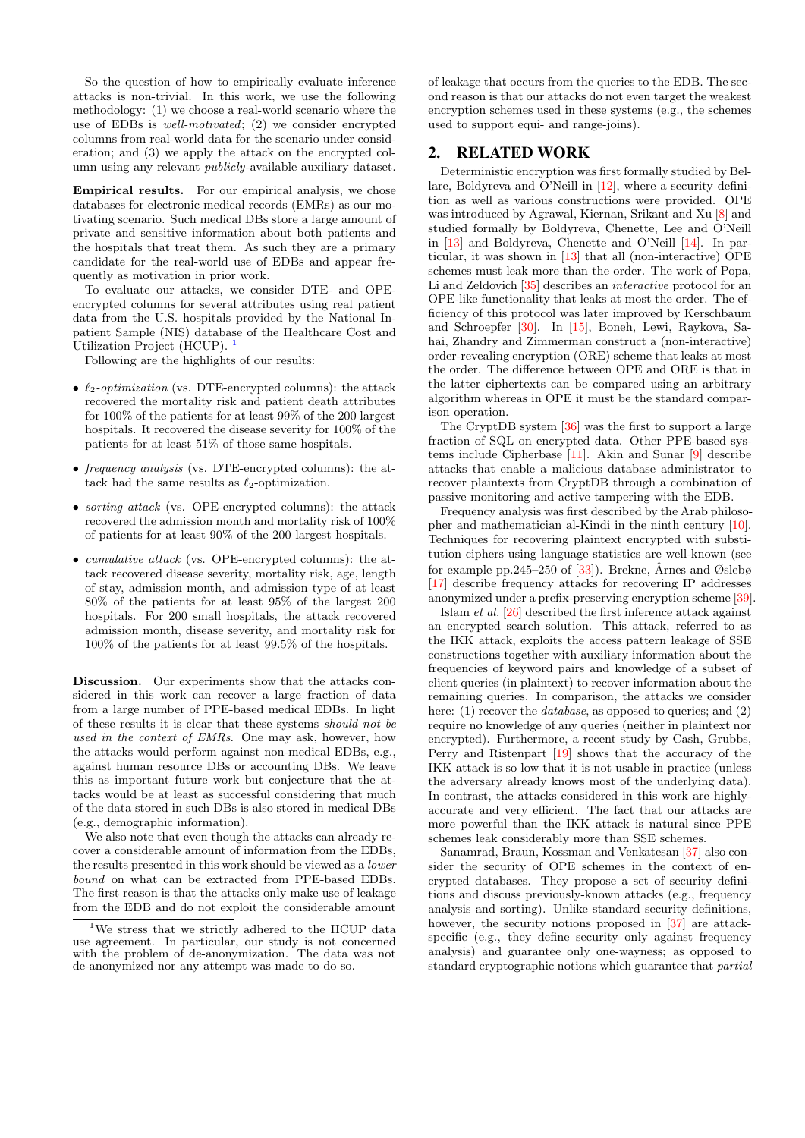So the question of how to empirically evaluate inference attacks is non-trivial. In this work, we use the following methodology: (1) we choose a real-world scenario where the use of EDBs is well-motivated; (2) we consider encrypted columns from real-world data for the scenario under consideration; and (3) we apply the attack on the encrypted column using any relevant publicly-available auxiliary dataset.

Empirical results. For our empirical analysis, we chose databases for electronic medical records (EMRs) as our motivating scenario. Such medical DBs store a large amount of private and sensitive information about both patients and the hospitals that treat them. As such they are a primary candidate for the real-world use of EDBs and appear frequently as motivation in prior work.

To evaluate our attacks, we consider DTE- and OPEencrypted columns for several attributes using real patient data from the U.S. hospitals provided by the National Inpatient Sample (NIS) database of the Healthcare Cost and Utilization Project (HCUP). [1](#page-0-0)

Following are the highlights of our results:

- $\ell_2$ -*optimization* (vs. DTE-encrypted columns): the attack recovered the mortality risk and patient death attributes for 100% of the patients for at least 99% of the 200 largest hospitals. It recovered the disease severity for 100% of the patients for at least 51% of those same hospitals.
- frequency analysis (vs. DTE-encrypted columns): the attack had the same results as  $\ell_2$ -optimization.
- sorting attack (vs. OPE-encrypted columns): the attack recovered the admission month and mortality risk of 100% of patients for at least 90% of the 200 largest hospitals.
- cumulative attack (vs. OPE-encrypted columns): the attack recovered disease severity, mortality risk, age, length of stay, admission month, and admission type of at least 80% of the patients for at least 95% of the largest 200 hospitals. For 200 small hospitals, the attack recovered admission month, disease severity, and mortality risk for 100% of the patients for at least 99.5% of the hospitals.

Discussion. Our experiments show that the attacks considered in this work can recover a large fraction of data from a large number of PPE-based medical EDBs. In light of these results it is clear that these systems should not be used in the context of EMRs. One may ask, however, how the attacks would perform against non-medical EDBs, e.g., against human resource DBs or accounting DBs. We leave this as important future work but conjecture that the attacks would be at least as successful considering that much of the data stored in such DBs is also stored in medical DBs (e.g., demographic information).

We also note that even though the attacks can already recover a considerable amount of information from the EDBs, the results presented in this work should be viewed as a lower bound on what can be extracted from PPE-based EDBs. The first reason is that the attacks only make use of leakage from the EDB and do not exploit the considerable amount of leakage that occurs from the queries to the EDB. The second reason is that our attacks do not even target the weakest encryption schemes used in these systems (e.g., the schemes used to support equi- and range-joins).

# 2. RELATED WORK

Deterministic encryption was first formally studied by Bellare, Boldyreva and O'Neill in [\[12\]](#page-11-4), where a security definition as well as various constructions were provided. OPE was introduced by Agrawal, Kiernan, Srikant and Xu [\[8\]](#page-11-11) and studied formally by Boldyreva, Chenette, Lee and O'Neill in [\[13\]](#page-11-5) and Boldyreva, Chenette and O'Neill [\[14\]](#page-11-12). In particular, it was shown in [\[13\]](#page-11-5) that all (non-interactive) OPE schemes must leak more than the order. The work of Popa, Li and Zeldovich [\[35\]](#page-12-2) describes an interactive protocol for an OPE-like functionality that leaks at most the order. The efficiency of this protocol was later improved by Kerschbaum and Schroepfer [\[30\]](#page-11-13). In [\[15\]](#page-11-14), Boneh, Lewi, Raykova, Sahai, Zhandry and Zimmerman construct a (non-interactive) order-revealing encryption (ORE) scheme that leaks at most the order. The difference between OPE and ORE is that in the latter ciphertexts can be compared using an arbitrary algorithm whereas in OPE it must be the standard comparison operation.

The CryptDB system [\[36\]](#page-12-1) was the first to support a large fraction of SQL on encrypted data. Other PPE-based systems include Cipherbase [\[11\]](#page-11-7). Akin and Sunar [\[9\]](#page-11-15) describe attacks that enable a malicious database administrator to recover plaintexts from CryptDB through a combination of passive monitoring and active tampering with the EDB.

Frequency analysis was first described by the Arab philosopher and mathematician al-Kindi in the ninth century [\[10\]](#page-11-16). Techniques for recovering plaintext encrypted with substitution ciphers using language statistics are well-known (see for example pp.245–250 of  $[33]$ . Brekne, Arnes and Øslebø [\[17\]](#page-11-17) describe frequency attacks for recovering IP addresses anonymized under a prefix-preserving encryption scheme [\[39\]](#page-12-4).

Islam et al. [\[26\]](#page-11-6) described the first inference attack against an encrypted search solution. This attack, referred to as the IKK attack, exploits the access pattern leakage of SSE constructions together with auxiliary information about the frequencies of keyword pairs and knowledge of a subset of client queries (in plaintext) to recover information about the remaining queries. In comparison, the attacks we consider here: (1) recover the *database*, as opposed to queries; and (2) require no knowledge of any queries (neither in plaintext nor encrypted). Furthermore, a recent study by Cash, Grubbs, Perry and Ristenpart [\[19\]](#page-11-18) shows that the accuracy of the IKK attack is so low that it is not usable in practice (unless the adversary already knows most of the underlying data). In contrast, the attacks considered in this work are highlyaccurate and very efficient. The fact that our attacks are more powerful than the IKK attack is natural since PPE schemes leak considerably more than SSE schemes.

Sanamrad, Braun, Kossman and Venkatesan [\[37\]](#page-12-5) also consider the security of OPE schemes in the context of encrypted databases. They propose a set of security definitions and discuss previously-known attacks (e.g., frequency analysis and sorting). Unlike standard security definitions, however, the security notions proposed in [\[37\]](#page-12-5) are attackspecific (e.g., they define security only against frequency analysis) and guarantee only one-wayness; as opposed to standard cryptographic notions which guarantee that partial

<sup>&</sup>lt;sup>1</sup>We stress that we strictly adhered to the HCUP data use agreement. In particular, our study is not concerned with the problem of de-anonymization. The data was not de-anonymized nor any attempt was made to do so.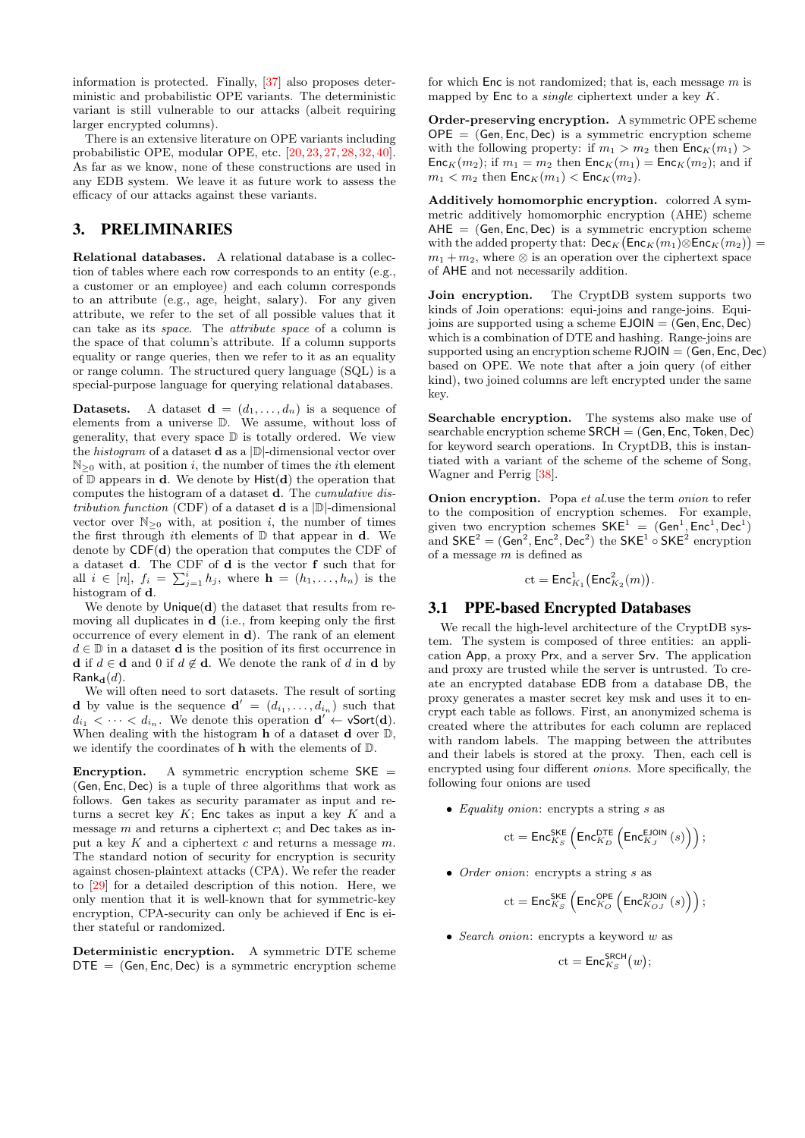information is protected. Finally, [\[37\]](#page-12-5) also proposes deterministic and probabilistic OPE variants. The deterministic variant is still vulnerable to our attacks (albeit requiring larger encrypted columns).

There is an extensive literature on OPE variants including probabilistic OPE, modular OPE, etc. [\[20,](#page-11-19) [23,](#page-11-20) [27,](#page-11-21) [28,](#page-11-22) [32,](#page-11-23) [40\]](#page-12-6). As far as we know, none of these constructions are used in any EDB system. We leave it as future work to assess the efficacy of our attacks against these variants.

# 3. PRELIMINARIES

Relational databases. A relational database is a collection of tables where each row corresponds to an entity (e.g., a customer or an employee) and each column corresponds to an attribute (e.g., age, height, salary). For any given attribute, we refer to the set of all possible values that it can take as its space. The attribute space of a column is the space of that column's attribute. If a column supports equality or range queries, then we refer to it as an equality or range column. The structured query language (SQL) is a special-purpose language for querying relational databases.

**Datasets.** A dataset  $\mathbf{d} = (d_1, \ldots, d_n)$  is a sequence of elements from a universe D. We assume, without loss of generality, that every space  $\mathbb D$  is totally ordered. We view the *histogram* of a dataset **d** as a  $|\mathbb{D}|$ -dimensional vector over  $N>0$  with, at position *i*, the number of times the *i*th element of  $\mathbb D$  appears in **d**. We denote by  $\text{Hist}(\mathbf d)$  the operation that computes the histogram of a dataset d. The cumulative distribution function (CDF) of a dataset **d** is a  $|\mathbb{D}|$ -dimensional vector over  $\mathbb{N}_{\geq 0}$  with, at position *i*, the number of times the first through *i*th elements of  $\mathbb{D}$  that appear in **d**. We denote by CDF(d) the operation that computes the CDF of a dataset d. The CDF of d is the vector f such that for all  $i \in [n]$ ,  $f_i = \sum_{j=1}^i h_j$ , where  $\mathbf{h} = (h_1, \ldots, h_n)$  is the histogram of d.

We denote by  $\text{Unique}(d)$  the dataset that results from removing all duplicates in d (i.e., from keeping only the first occurrence of every element in d). The rank of an element  $d \in \mathbb{D}$  in a dataset **d** is the position of its first occurrence in **d** if  $d \in \mathbf{d}$  and 0 if  $d \notin \mathbf{d}$ . We denote the rank of d in **d** by Rank $_{\mathbf{d}}(d)$ .

We will often need to sort datasets. The result of sorting **d** by value is the sequence  $\mathbf{d}' = (d_{i_1}, \ldots, d_{i_n})$  such that  $d_{i_1} < \cdots < d_{i_n}$ . We denote this operation  $\mathbf{d}' \leftarrow \mathsf{vSort}(\mathbf{d})$ . When dealing with the histogram **h** of a dataset **d** over  $\mathbb{D}$ , we identify the coordinates of h with the elements of D.

**Encryption.** A symmetric encryption scheme  $SKE =$ (Gen, Enc, Dec) is a tuple of three algorithms that work as follows. Gen takes as security paramater as input and returns a secret key  $K$ ; Enc takes as input a key  $K$  and a message  $m$  and returns a ciphertext  $c$ ; and Dec takes as input a key  $K$  and a ciphertext  $c$  and returns a message  $m$ . The standard notion of security for encryption is security against chosen-plaintext attacks (CPA). We refer the reader to [\[29\]](#page-11-24) for a detailed description of this notion. Here, we only mention that it is well-known that for symmetric-key encryption, CPA-security can only be achieved if Enc is either stateful or randomized.

Deterministic encryption. A symmetric DTE scheme  $DTE = (Gen, Enc, Dec)$  is a symmetric encryption scheme

for which  $Enc$  is not randomized; that is, each message  $m$  is mapped by  $\mathsf{Enc}\$  to a *single* ciphertext under a key  $K$ .

Order-preserving encryption. A symmetric OPE scheme  $OPE = (Gen, Enc, Dec)$  is a symmetric encryption scheme with the following property: if  $m_1 > m_2$  then  $\mathsf{Enc}_K(m_1)$  $\mathsf{Enc}_K(m_2)$ ; if  $m_1 = m_2$  then  $\mathsf{Enc}_K(m_1) = \mathsf{Enc}_K(m_2)$ ; and if  $m_1 < m_2$  then  $\mathsf{Enc}_K(m_1) < \mathsf{Enc}_K(m_2)$ .

Additively homomorphic encryption. colorred A symmetric additively homomorphic encryption (AHE) scheme  $AHE = (Gen, Enc, Dec)$  is a symmetric encryption scheme with the added property that:  $\mathsf{Dec}_K(\mathsf{Enc}_K(m_1) \otimes \mathsf{Enc}_K(m_2)) =$  $m_1 + m_2$ , where  $\otimes$  is an operation over the ciphertext space of AHE and not necessarily addition.

Join encryption. The CryptDB system supports two kinds of Join operations: equi-joins and range-joins. Equijoins are supported using a scheme  $EJOIN = (Gen, Enc. Dec)$ which is a combination of DTE and hashing. Range-joins are supported using an encryption scheme  $RJOIN = (Gen, Enc, Dec)$ based on OPE. We note that after a join query (of either kind), two joined columns are left encrypted under the same key.

Searchable encryption. The systems also make use of searchable encryption scheme  $S RCH = (Gen, Enc, Token, Dec)$ for keyword search operations. In CryptDB, this is instantiated with a variant of the scheme of the scheme of Song, Wagner and Perrig [\[38\]](#page-12-0).

**Onion encryption.** Popa et al.use the term onion to refer to the composition of encryption schemes. For example, given two encryption schemes  $SKE^1 = (Gen^1, Enc^1, Dec^1)$ and  $\mathsf{SKE}^2 = (\mathsf{Gen}^2, \mathsf{Enc}^2, \mathsf{Dec}^2)$  the  $\mathsf{SKE}^1 \circ \mathsf{SKE}^2$  encryption of a message  $m$  is defined as

$$
\mathrm{ct}=\mathsf{Enc}^1_{K_1}\big(\mathsf{Enc}^2_{K_2}(m)\big).
$$

#### 3.1 PPE-based Encrypted Databases

We recall the high-level architecture of the CryptDB system. The system is composed of three entities: an application App, a proxy Prx, and a server Srv. The application and proxy are trusted while the server is untrusted. To create an encrypted database EDB from a database DB, the proxy generates a master secret key msk and uses it to encrypt each table as follows. First, an anonymized schema is created where the attributes for each column are replaced with random labels. The mapping between the attributes and their labels is stored at the proxy. Then, each cell is encrypted using four different onions. More specifically, the following four onions are used

• Equality onion: encrypts a string s as

$$
\mathrm{ct}=\mathrm{Enc}_{K_S}^{\mathrm{SKE}}\left(\mathrm{Enc}_{K_D}^{\mathrm{DTE}}\left(\mathrm{Enc}_{K_J}^{\mathrm{EJOIN}}\left(s\right)\right)\right);
$$

• *Order onion*: encrypts a string s as

$$
\mathrm{ct}=\mathrm{Enc}_{K_{S}}^{\mathrm{SKE}}\left(\mathrm{Enc}_{K_{O}}^{\mathrm{OPE}}\left(\mathrm{Enc}_{K_{OJ}}^{\mathrm{RIOIN}}\left(s\right)\right)\right);
$$

• Search onion: encrypts a keyword  $w$  as

$$
\mathrm{ct} = \mathsf{Enc}_{K_S}^{\mathsf{SRCH}}(w);
$$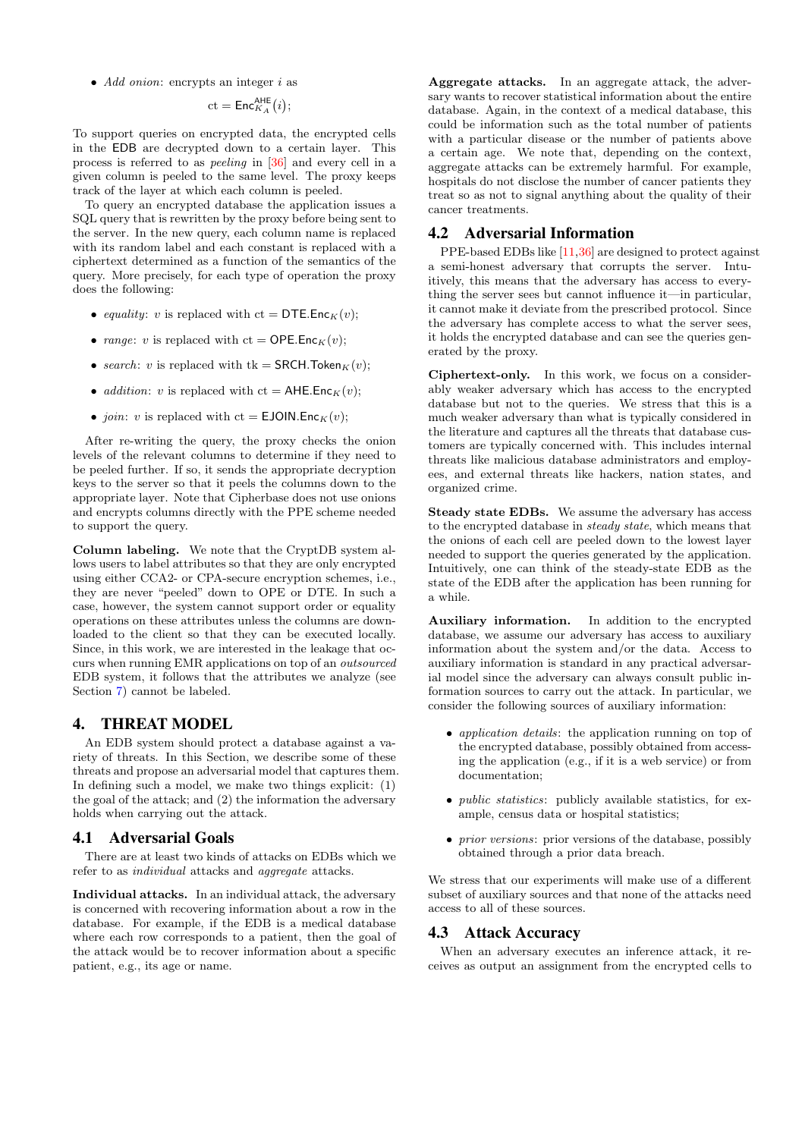• Add onion: encrypts an integer  $i$  as

$$
\mathrm{ct}=\mathsf{Enc}_{K_A}^{\mathsf{AHE}}(i);
$$

To support queries on encrypted data, the encrypted cells in the EDB are decrypted down to a certain layer. This process is referred to as peeling in [\[36\]](#page-12-1) and every cell in a given column is peeled to the same level. The proxy keeps track of the layer at which each column is peeled.

To query an encrypted database the application issues a SQL query that is rewritten by the proxy before being sent to the server. In the new query, each column name is replaced with its random label and each constant is replaced with a ciphertext determined as a function of the semantics of the query. More precisely, for each type of operation the proxy does the following:

- equality: v is replaced with  $ct = DTE.Enc<sub>K</sub>(v);$
- range: v is replaced with  $ct = \mathsf{OPE}.\mathsf{Enc}_K(v);$
- search: v is replaced with tk =  $\mathsf{SRCH}$ . Token $_K(v)$ ;
- *addition*: *v* is replaced with  $ct = AHE.Enc<sub>K</sub>(v)$ ;
- join: v is replaced with  $ct = EJOIN.Enc<sub>K</sub>(v);$

After re-writing the query, the proxy checks the onion levels of the relevant columns to determine if they need to be peeled further. If so, it sends the appropriate decryption keys to the server so that it peels the columns down to the appropriate layer. Note that Cipherbase does not use onions and encrypts columns directly with the PPE scheme needed to support the query.

Column labeling. We note that the CryptDB system allows users to label attributes so that they are only encrypted using either CCA2- or CPA-secure encryption schemes, i.e., they are never "peeled" down to OPE or DTE. In such a case, however, the system cannot support order or equality operations on these attributes unless the columns are downloaded to the client so that they can be executed locally. Since, in this work, we are interested in the leakage that occurs when running EMR applications on top of an outsourced EDB system, it follows that the attributes we analyze (see Section [7\)](#page-7-0) cannot be labeled.

### 4. THREAT MODEL

An EDB system should protect a database against a variety of threats. In this Section, we describe some of these threats and propose an adversarial model that captures them. In defining such a model, we make two things explicit: (1) the goal of the attack; and (2) the information the adversary holds when carrying out the attack.

### 4.1 Adversarial Goals

There are at least two kinds of attacks on EDBs which we refer to as individual attacks and aggregate attacks.

Individual attacks. In an individual attack, the adversary is concerned with recovering information about a row in the database. For example, if the EDB is a medical database where each row corresponds to a patient, then the goal of the attack would be to recover information about a specific patient, e.g., its age or name.

Aggregate attacks. In an aggregate attack, the adversary wants to recover statistical information about the entire database. Again, in the context of a medical database, this could be information such as the total number of patients with a particular disease or the number of patients above a certain age. We note that, depending on the context, aggregate attacks can be extremely harmful. For example, hospitals do not disclose the number of cancer patients they treat so as not to signal anything about the quality of their cancer treatments.

#### 4.2 Adversarial Information

PPE-based EDBs like [\[11](#page-11-7)[,36\]](#page-12-1) are designed to protect against a semi-honest adversary that corrupts the server. Intuitively, this means that the adversary has access to everything the server sees but cannot influence it—in particular, it cannot make it deviate from the prescribed protocol. Since the adversary has complete access to what the server sees, it holds the encrypted database and can see the queries generated by the proxy.

Ciphertext-only. In this work, we focus on a considerably weaker adversary which has access to the encrypted database but not to the queries. We stress that this is a much weaker adversary than what is typically considered in the literature and captures all the threats that database customers are typically concerned with. This includes internal threats like malicious database administrators and employees, and external threats like hackers, nation states, and organized crime.

Steady state EDBs. We assume the adversary has access to the encrypted database in steady state, which means that the onions of each cell are peeled down to the lowest layer needed to support the queries generated by the application. Intuitively, one can think of the steady-state EDB as the state of the EDB after the application has been running for a while.

Auxiliary information. In addition to the encrypted database, we assume our adversary has access to auxiliary information about the system and/or the data. Access to auxiliary information is standard in any practical adversarial model since the adversary can always consult public information sources to carry out the attack. In particular, we consider the following sources of auxiliary information:

- *application details*: the application running on top of the encrypted database, possibly obtained from accessing the application (e.g., if it is a web service) or from documentation;
- *public statistics*: publicly available statistics, for example, census data or hospital statistics;
- prior versions: prior versions of the database, possibly obtained through a prior data breach.

We stress that our experiments will make use of a different subset of auxiliary sources and that none of the attacks need access to all of these sources.

### 4.3 Attack Accuracy

When an adversary executes an inference attack, it receives as output an assignment from the encrypted cells to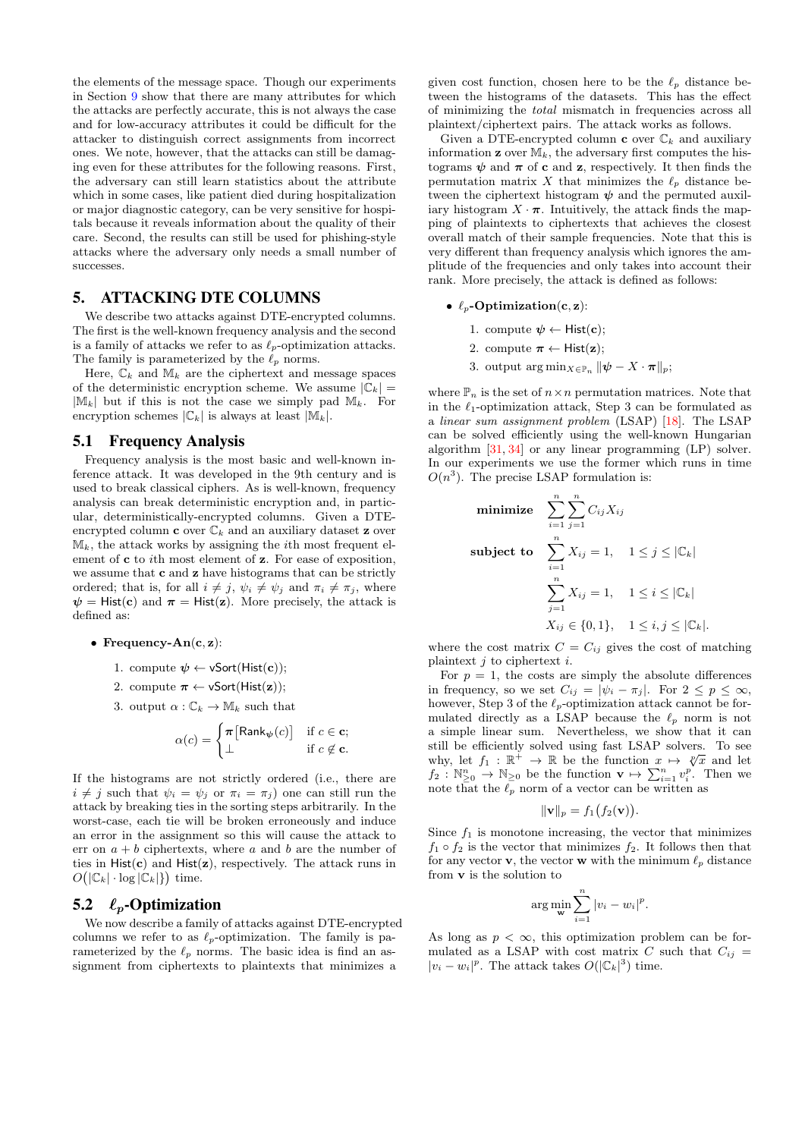the elements of the message space. Though our experiments in Section [9](#page-9-0) show that there are many attributes for which the attacks are perfectly accurate, this is not always the case and for low-accuracy attributes it could be difficult for the attacker to distinguish correct assignments from incorrect ones. We note, however, that the attacks can still be damaging even for these attributes for the following reasons. First, the adversary can still learn statistics about the attribute which in some cases, like patient died during hospitalization or major diagnostic category, can be very sensitive for hospitals because it reveals information about the quality of their care. Second, the results can still be used for phishing-style attacks where the adversary only needs a small number of successes.

#### 5. ATTACKING DTE COLUMNS

We describe two attacks against DTE-encrypted columns. The first is the well-known frequency analysis and the second is a family of attacks we refer to as  $\ell_p\text{-optimization attacks}.$ The family is parameterized by the  $\ell_p$  norms.

Here,  $\mathbb{C}_k$  and  $\mathbb{M}_k$  are the ciphertext and message spaces of the deterministic encryption scheme. We assume  $|\mathbb{C}_k|$  =  $|M_k|$  but if this is not the case we simply pad  $M_k$ . For encryption schemes  $|\mathbb{C}_k|$  is always at least  $|\mathbb{M}_k|$ .

#### 5.1 Frequency Analysis

Frequency analysis is the most basic and well-known inference attack. It was developed in the 9th century and is used to break classical ciphers. As is well-known, frequency analysis can break deterministic encryption and, in particular, deterministically-encrypted columns. Given a DTEencrypted column **c** over  $\mathbb{C}_k$  and an auxiliary dataset **z** over  $M_k$ , the attack works by assigning the *i*th most frequent element of **c** to *i*th most element of **z**. For ease of exposition, we assume that **c** and **z** have histograms that can be strictly ordered; that is, for all  $i \neq j$ ,  $\psi_i \neq \psi_j$  and  $\pi_i \neq \pi_j$ , where  $\psi = Hist(c)$  and  $\pi = Hist(z)$ . More precisely, the attack is defined as:

• Frequency- $An(c, z)$ :

- 1. compute  $\psi \leftarrow \mathsf{vSort}(\mathsf{Hist}(\mathbf{c}))$ ;
- 2. compute  $\pi \leftarrow \text{vSort}(\text{Hist}(\mathbf{z}))$ ;
- 3. output  $\alpha : \mathbb{C}_k \to \mathbb{M}_k$  such that

$$
\alpha(c) = \begin{cases} \pi \big[ \mathsf{Rank}_{\psi}(c) \big] & \text{if } c \in \mathbf{c}; \\ \bot & \text{if } c \not\in \mathbf{c}. \end{cases}
$$

If the histograms are not strictly ordered (i.e., there are  $i \neq j$  such that  $\psi_i = \psi_j$  or  $\pi_i = \pi_j$  one can still run the attack by breaking ties in the sorting steps arbitrarily. In the worst-case, each tie will be broken erroneously and induce an error in the assignment so this will cause the attack to err on  $a + b$  ciphertexts, where a and b are the number of ties in  $Hist(c)$  and  $Hist(z)$ , respectively. The attack runs in  $O(|\mathbb{C}_k| \cdot \log |\mathbb{C}_k|)$  time.

#### <span id="page-5-0"></span>5.2  $\ell_p$ -Optimization

We now describe a family of attacks against DTE-encrypted columns we refer to as  $\ell_p$ -optimization. The family is parameterized by the  $\ell_p$  norms. The basic idea is find an assignment from ciphertexts to plaintexts that minimizes a

given cost function, chosen here to be the  $\ell_p$  distance between the histograms of the datasets. This has the effect of minimizing the total mismatch in frequencies across all plaintext/ciphertext pairs. The attack works as follows.

Given a DTE-encrypted column **c** over  $\mathbb{C}_k$  and auxiliary information  $z$  over  $M_k$ , the adversary first computes the histograms  $\psi$  and  $\pi$  of **c** and **z**, respectively. It then finds the permutation matrix X that minimizes the  $\ell_p$  distance between the ciphertext histogram  $\psi$  and the permuted auxiliary histogram  $X \cdot \pi$ . Intuitively, the attack finds the mapping of plaintexts to ciphertexts that achieves the closest overall match of their sample frequencies. Note that this is very different than frequency analysis which ignores the amplitude of the frequencies and only takes into account their rank. More precisely, the attack is defined as follows:

- $\ell_p$ -Optimization(c, z):
	- 1. compute  $\psi \leftarrow$  Hist(c);
	- 2. compute  $\pi \leftarrow$  Hist(z);
	- 3. output  $\arg \min_{X \in \mathbb{P}_n} ||\psi X \cdot \pi||_p;$

where  $\mathbb{P}_n$  is the set of  $n \times n$  permutation matrices. Note that in the  $\ell_1$ -optimization attack, Step 3 can be formulated as a linear sum assignment problem (LSAP) [\[18\]](#page-11-25). The LSAP can be solved efficiently using the well-known Hungarian algorithm [\[31,](#page-11-26) [34\]](#page-12-7) or any linear programming (LP) solver. In our experiments we use the former which runs in time  $O(n^3)$ . The precise LSAP formulation is:

minimize 
$$
\sum_{i=1}^{n} \sum_{j=1}^{n} C_{ij} X_{ij}
$$
  
subject to 
$$
\sum_{i=1}^{n} X_{ij} = 1, \quad 1 \leq j \leq |\mathbb{C}_k|
$$

$$
\sum_{j=1}^{n} X_{ij} = 1, \quad 1 \leq i \leq |\mathbb{C}_k|
$$

$$
X_{ij} \in \{0, 1\}, \quad 1 \leq i, j \leq |\mathbb{C}_k|.
$$

where the cost matrix  $C = C_{ij}$  gives the cost of matching plaintext  $i$  to ciphertext  $i$ .

For  $p = 1$ , the costs are simply the absolute differences in frequency, so we set  $C_{ij} = |\psi_i - \pi_j|$ . For  $2 \le p \le \infty$ , however, Step 3 of the  $\ell_p$ -optimization attack cannot be formulated directly as a LSAP because the  $\ell_p$  norm is not a simple linear sum. Nevertheless, we show that it can still be efficiently solved using fast LSAP solvers. To see why, let  $f_1 : \mathbb{R}^+ \to \mathbb{R}$  be the function  $x \mapsto \sqrt[p]{x}$  and let  $f_2: \mathbb{N}_{\geq 0}^n \to \mathbb{N}_{\geq 0}$  be the function  $\mathbf{v} \mapsto \sum_{i=1}^n v_i^p$ . Then we note that the  $\ell_p$  norm of a vector can be written as

$$
\|\mathbf{v}\|_p = f_1(f_2(\mathbf{v})).
$$

Since  $f_1$  is monotone increasing, the vector that minimizes  $f_1 \circ f_2$  is the vector that minimizes  $f_2$ . It follows then that for any vector **v**, the vector **w** with the minimum  $\ell_p$  distance from v is the solution to

$$
\arg\min_{\mathbf{w}}\sum_{i=1}^{n}|v_{i}-w_{i}|^{p}.
$$

As long as  $p < \infty$ , this optimization problem can be formulated as a LSAP with cost matrix C such that  $C_{ij}$  =  $|v_i - w_i|^p$ . The attack takes  $O(|\mathbb{C}_k|^3)$  time.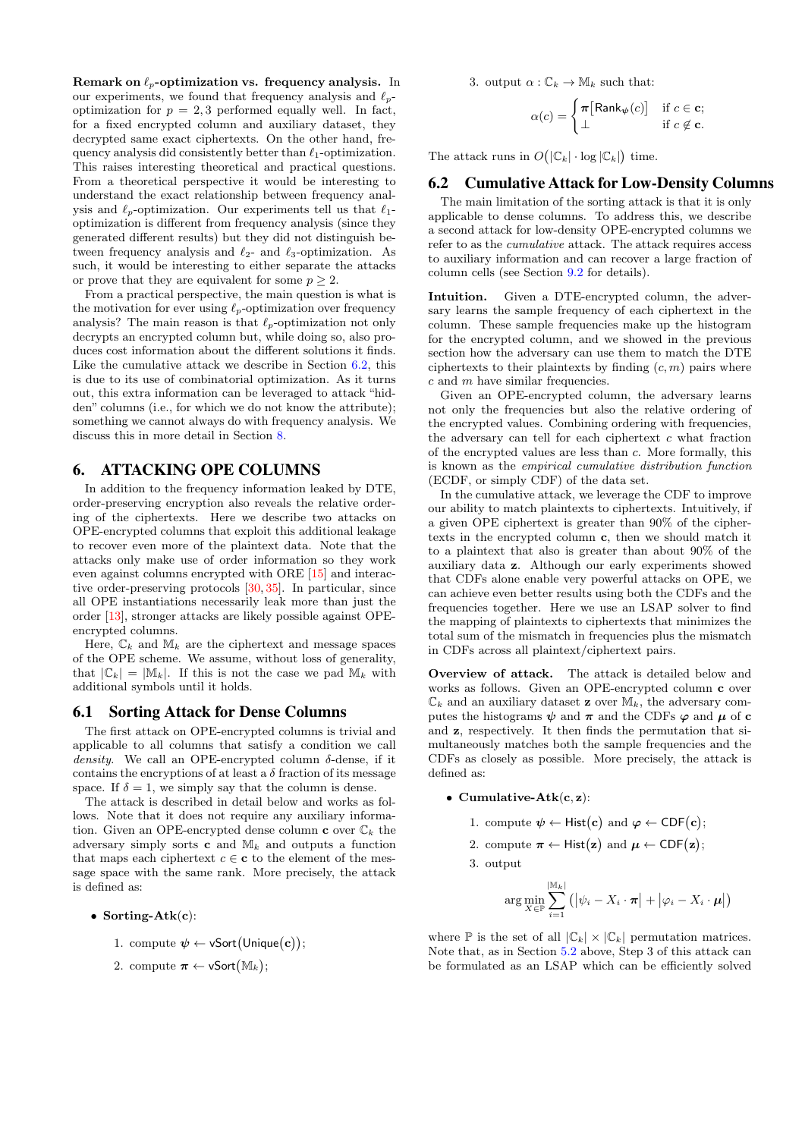Remark on  $\ell_p$ -optimization vs. frequency analysis. In our experiments, we found that frequency analysis and  $\ell_p$ optimization for  $p = 2, 3$  performed equally well. In fact, for a fixed encrypted column and auxiliary dataset, they decrypted same exact ciphertexts. On the other hand, frequency analysis did consistently better than  $\ell_1$ -optimization. This raises interesting theoretical and practical questions. From a theoretical perspective it would be interesting to understand the exact relationship between frequency analysis and  $\ell_p$ -optimization. Our experiments tell us that  $\ell_1$ optimization is different from frequency analysis (since they generated different results) but they did not distinguish between frequency analysis and  $\ell_2$ - and  $\ell_3$ -optimization. As such, it would be interesting to either separate the attacks or prove that they are equivalent for some  $p \geq 2$ .

From a practical perspective, the main question is what is the motivation for ever using  $\ell_p$ -optimization over frequency analysis? The main reason is that  $\ell_p$ -optimization not only decrypts an encrypted column but, while doing so, also produces cost information about the different solutions it finds. Like the cumulative attack we describe in Section [6.2,](#page-6-0) this is due to its use of combinatorial optimization. As it turns out, this extra information can be leveraged to attack "hidden" columns (i.e., for which we do not know the attribute); something we cannot always do with frequency analysis. We discuss this in more detail in Section [8.](#page-8-0)

## 6. ATTACKING OPE COLUMNS

In addition to the frequency information leaked by DTE, order-preserving encryption also reveals the relative ordering of the ciphertexts. Here we describe two attacks on OPE-encrypted columns that exploit this additional leakage to recover even more of the plaintext data. Note that the attacks only make use of order information so they work even against columns encrypted with ORE [\[15\]](#page-11-14) and interactive order-preserving protocols [\[30,](#page-11-13) [35\]](#page-12-2). In particular, since all OPE instantiations necessarily leak more than just the order [\[13\]](#page-11-5), stronger attacks are likely possible against OPEencrypted columns.

Here,  $\mathbb{C}_k$  and  $\mathbb{M}_k$  are the ciphertext and message spaces of the OPE scheme. We assume, without loss of generality, that  $|\mathbb{C}_k| = |\mathbb{M}_k|$ . If this is not the case we pad  $\mathbb{M}_k$  with additional symbols until it holds.

#### 6.1 Sorting Attack for Dense Columns

The first attack on OPE-encrypted columns is trivial and applicable to all columns that satisfy a condition we call density. We call an OPE-encrypted column  $\delta$ -dense, if it contains the encryptions of at least a  $\delta$  fraction of its message space. If  $\delta = 1$ , we simply say that the column is dense.

The attack is described in detail below and works as follows. Note that it does not require any auxiliary information. Given an OPE-encrypted dense column c over  $\mathbb{C}_k$  the adversary simply sorts **c** and  $\mathbb{M}_k$  and outputs a function that maps each ciphertext  $c \in \mathbf{c}$  to the element of the message space with the same rank. More precisely, the attack is defined as:

• Sorting-Atk(c):

1. compute 
$$
\psi \leftarrow \text{vSort}(\text{Unique}(\mathbf{c}))
$$
;

2. compute  $\boldsymbol{\pi} \leftarrow \mathsf{vSort}(\mathbb{M}_k);$ 

3. output  $\alpha : \mathbb{C}_k \to \mathbb{M}_k$  such that:

$$
\alpha(c) = \begin{cases} \pi \big[ \mathsf{Rank}_{\Psi}(c) \big] & \text{if } c \in \mathbf{c}; \\ \bot & \text{if } c \not\in \mathbf{c}. \end{cases}
$$

The attack runs in  $O(|\mathbb{C}_k| \cdot \log |\mathbb{C}_k|)$  time.

#### <span id="page-6-0"></span>6.2 Cumulative Attack for Low-Density Columns

The main limitation of the sorting attack is that it is only applicable to dense columns. To address this, we describe a second attack for low-density OPE-encrypted columns we refer to as the cumulative attack. The attack requires access to auxiliary information and can recover a large fraction of column cells (see Section [9.2](#page-10-0) for details).

Intuition. Given a DTE-encrypted column, the adversary learns the sample frequency of each ciphertext in the column. These sample frequencies make up the histogram for the encrypted column, and we showed in the previous section how the adversary can use them to match the DTE ciphertexts to their plaintexts by finding  $(c, m)$  pairs where  $c$  and  $m$  have similar frequencies.

Given an OPE-encrypted column, the adversary learns not only the frequencies but also the relative ordering of the encrypted values. Combining ordering with frequencies, the adversary can tell for each ciphertext  $c$  what fraction of the encrypted values are less than c. More formally, this is known as the empirical cumulative distribution function (ECDF, or simply CDF) of the data set.

In the cumulative attack, we leverage the CDF to improve our ability to match plaintexts to ciphertexts. Intuitively, if a given OPE ciphertext is greater than 90% of the ciphertexts in the encrypted column c, then we should match it to a plaintext that also is greater than about 90% of the auxiliary data z. Although our early experiments showed that CDFs alone enable very powerful attacks on OPE, we can achieve even better results using both the CDFs and the frequencies together. Here we use an LSAP solver to find the mapping of plaintexts to ciphertexts that minimizes the total sum of the mismatch in frequencies plus the mismatch in CDFs across all plaintext/ciphertext pairs.

Overview of attack. The attack is detailed below and works as follows. Given an OPE-encrypted column c over  $\mathbb{C}_k$  and an auxiliary dataset **z** over  $\mathbb{M}_k$ , the adversary computes the histograms  $\psi$  and  $\pi$  and the CDFs  $\varphi$  and  $\mu$  of c and z, respectively. It then finds the permutation that simultaneously matches both the sample frequencies and the CDFs as closely as possible. More precisely, the attack is defined as:

- Cumulative-Atk $(c, z)$ :
	- 1. compute  $\psi \leftarrow \text{Hist}(\mathbf{c})$  and  $\varphi \leftarrow \text{CDF}(\mathbf{c})$ ;
	- 2. compute  $\pi \leftarrow \text{Hist}(\mathbf{z})$  and  $\mu \leftarrow \text{CDF}(\mathbf{z});$
	- 3. output

$$
\arg\min_{X\in\mathbb{P}}\sum_{i=1}^{|\mathbb{M}_k|}\left(|\psi_i-X_i\cdot\boldsymbol{\pi}|+|\varphi_i-X_i\cdot\boldsymbol{\mu}|\right)
$$

where  $\mathbb P$  is the set of all  $|\mathbb C_k| \times |\mathbb C_k|$  permutation matrices. Note that, as in Section [5.2](#page-5-0) above, Step 3 of this attack can be formulated as an LSAP which can be efficiently solved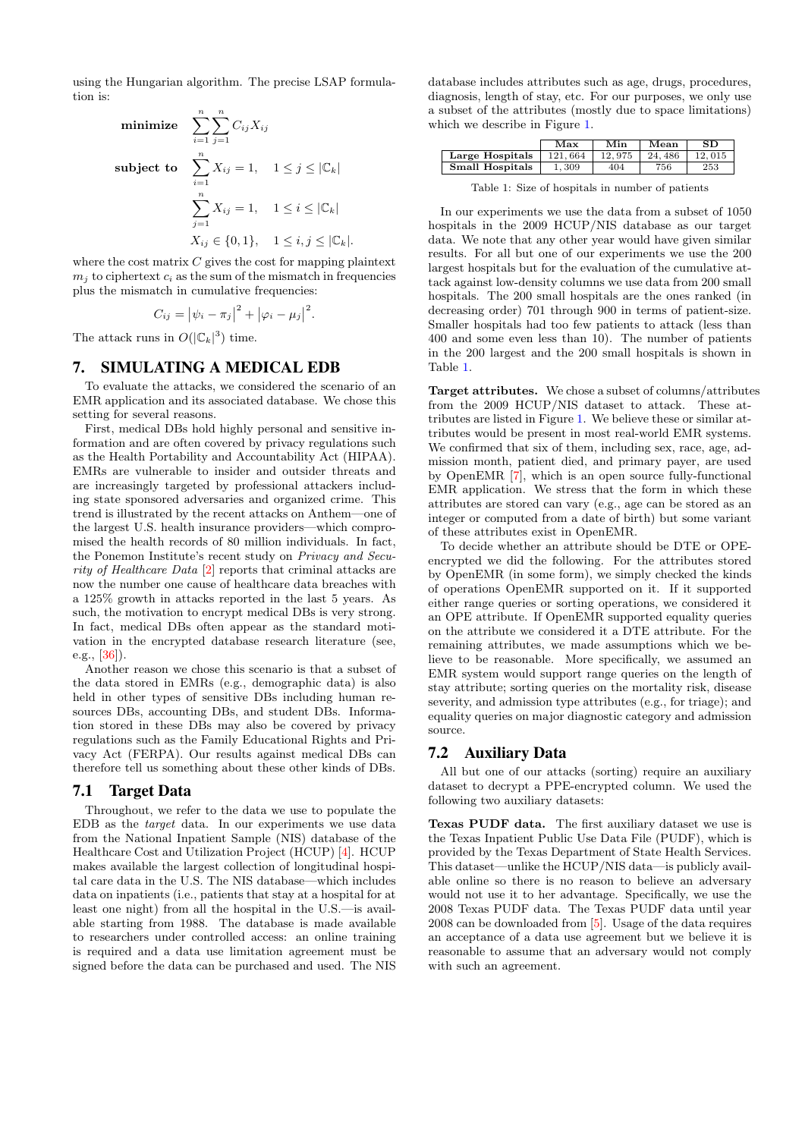using the Hungarian algorithm. The precise LSAP formulation is:

minimize 
$$
\sum_{i=1}^{n} \sum_{j=1}^{n} C_{ij} X_{ij}
$$
  
subject to 
$$
\sum_{i=1}^{n} X_{ij} = 1, \quad 1 \leq j \leq |\mathbb{C}_k|
$$

$$
\sum_{j=1}^{n} X_{ij} = 1, \quad 1 \leq i \leq |\mathbb{C}_k|
$$

$$
X_{ij} \in \{0, 1\}, \quad 1 \leq i, j \leq |\mathbb{C}_k|.
$$

where the cost matrix  $C$  gives the cost for mapping plaintext  $m_i$  to ciphertext  $c_i$  as the sum of the mismatch in frequencies plus the mismatch in cumulative frequencies:

$$
C_{ij} = |\psi_i - \pi_j|^2 + |\varphi_i - \mu_j|^2.
$$

The attack runs in  $O(|\mathbb{C}_k|^3)$  time.

### <span id="page-7-0"></span>7. SIMULATING A MEDICAL EDB

To evaluate the attacks, we considered the scenario of an EMR application and its associated database. We chose this setting for several reasons.

First, medical DBs hold highly personal and sensitive information and are often covered by privacy regulations such as the Health Portability and Accountability Act (HIPAA). EMRs are vulnerable to insider and outsider threats and are increasingly targeted by professional attackers including state sponsored adversaries and organized crime. This trend is illustrated by the recent attacks on Anthem—one of the largest U.S. health insurance providers—which compromised the health records of 80 million individuals. In fact, the Ponemon Institute's recent study on Privacy and Security of Healthcare Data [\[2\]](#page-11-27) reports that criminal attacks are now the number one cause of healthcare data breaches with a 125% growth in attacks reported in the last 5 years. As such, the motivation to encrypt medical DBs is very strong. In fact, medical DBs often appear as the standard motivation in the encrypted database research literature (see, e.g., [\[36\]](#page-12-1)).

Another reason we chose this scenario is that a subset of the data stored in EMRs (e.g., demographic data) is also held in other types of sensitive DBs including human resources DBs, accounting DBs, and student DBs. Information stored in these DBs may also be covered by privacy regulations such as the Family Educational Rights and Privacy Act (FERPA). Our results against medical DBs can therefore tell us something about these other kinds of DBs.

### 7.1 Target Data

Throughout, we refer to the data we use to populate the EDB as the target data. In our experiments we use data from the National Inpatient Sample (NIS) database of the Healthcare Cost and Utilization Project (HCUP) [\[4\]](#page-11-28). HCUP makes available the largest collection of longitudinal hospital care data in the U.S. The NIS database—which includes data on inpatients (i.e., patients that stay at a hospital for at least one night) from all the hospital in the U.S.—is available starting from 1988. The database is made available to researchers under controlled access: an online training is required and a data use limitation agreement must be signed before the data can be purchased and used. The NIS

database includes attributes such as age, drugs, procedures, diagnosis, length of stay, etc. For our purposes, we only use a subset of the attributes (mostly due to space limitations) which we describe in Figure [1.](#page-8-1)

<span id="page-7-1"></span>

|                        | Max     | Min    | Mean   | ŝЮ     |
|------------------------|---------|--------|--------|--------|
| Large Hospitals        | 121.664 | 12.975 | 24.486 | 12.015 |
| <b>Small Hospitals</b> | 1.309   | 404    | 756    | 253    |
|                        |         |        |        |        |

Table 1: Size of hospitals in number of patients

In our experiments we use the data from a subset of 1050 hospitals in the 2009 HCUP/NIS database as our target data. We note that any other year would have given similar results. For all but one of our experiments we use the 200 largest hospitals but for the evaluation of the cumulative attack against low-density columns we use data from 200 small hospitals. The 200 small hospitals are the ones ranked (in decreasing order) 701 through 900 in terms of patient-size. Smaller hospitals had too few patients to attack (less than 400 and some even less than 10). The number of patients in the 200 largest and the 200 small hospitals is shown in Table [1.](#page-7-1)

Target attributes. We chose a subset of columns/attributes from the 2009 HCUP/NIS dataset to attack. These attributes are listed in Figure [1.](#page-8-1) We believe these or similar attributes would be present in most real-world EMR systems. We confirmed that six of them, including sex, race, age, admission month, patient died, and primary payer, are used by OpenEMR [\[7\]](#page-11-29), which is an open source fully-functional EMR application. We stress that the form in which these attributes are stored can vary (e.g., age can be stored as an integer or computed from a date of birth) but some variant of these attributes exist in OpenEMR.

To decide whether an attribute should be DTE or OPEencrypted we did the following. For the attributes stored by OpenEMR (in some form), we simply checked the kinds of operations OpenEMR supported on it. If it supported either range queries or sorting operations, we considered it an OPE attribute. If OpenEMR supported equality queries on the attribute we considered it a DTE attribute. For the remaining attributes, we made assumptions which we believe to be reasonable. More specifically, we assumed an EMR system would support range queries on the length of stay attribute; sorting queries on the mortality risk, disease severity, and admission type attributes (e.g., for triage); and equality queries on major diagnostic category and admission source.

# 7.2 Auxiliary Data

All but one of our attacks (sorting) require an auxiliary dataset to decrypt a PPE-encrypted column. We used the following two auxiliary datasets:

Texas PUDF data. The first auxiliary dataset we use is the Texas Inpatient Public Use Data File (PUDF), which is provided by the Texas Department of State Health Services. This dataset—unlike the HCUP/NIS data—is publicly available online so there is no reason to believe an adversary would not use it to her advantage. Specifically, we use the 2008 Texas PUDF data. The Texas PUDF data until year 2008 can be downloaded from [\[5\]](#page-11-30). Usage of the data requires an acceptance of a data use agreement but we believe it is reasonable to assume that an adversary would not comply with such an agreement.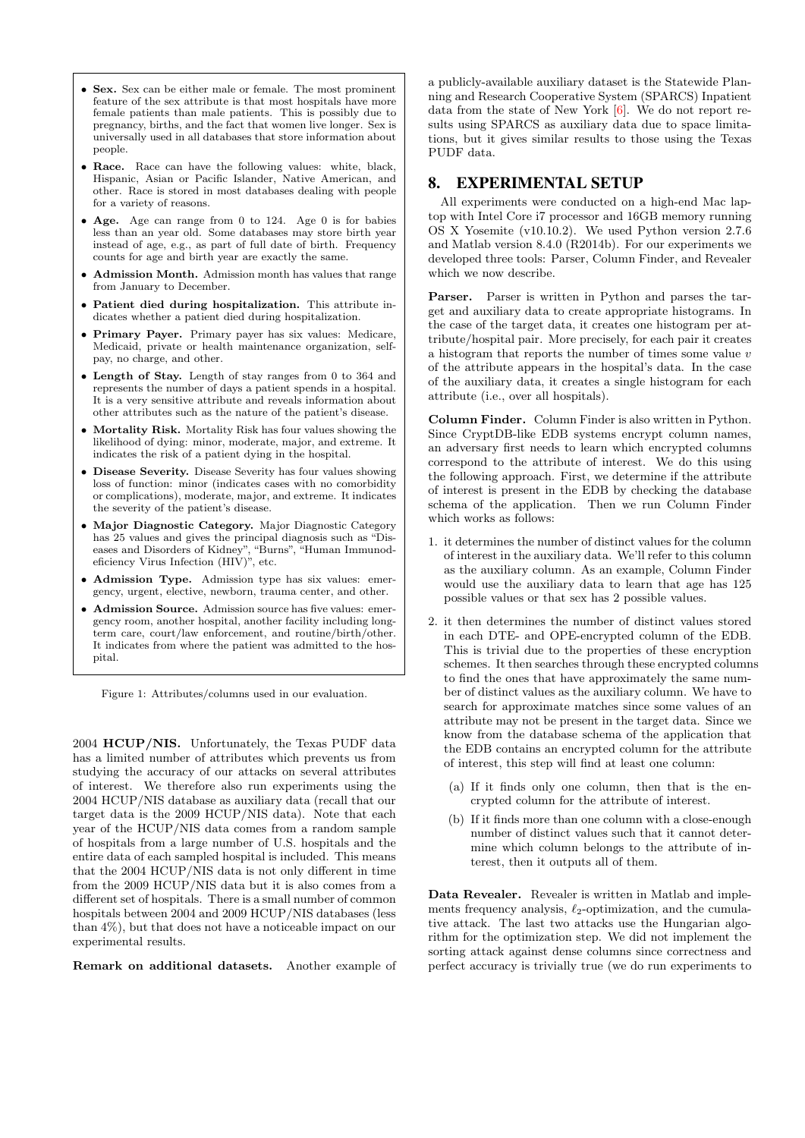- <span id="page-8-1"></span>Sex. Sex can be either male or female. The most prominent feature of the sex attribute is that most hospitals have more female patients than male patients. This is possibly due to pregnancy, births, and the fact that women live longer. Sex is universally used in all databases that store information about people.
- Race. Race can have the following values: white, black, Hispanic, Asian or Pacific Islander, Native American, and other. Race is stored in most databases dealing with people for a variety of reasons.
- Age. Age can range from 0 to 124. Age 0 is for babies less than an year old. Some databases may store birth year instead of age, e.g., as part of full date of birth. Frequency counts for age and birth year are exactly the same.
- Admission Month. Admission month has values that range from January to December.
- Patient died during hospitalization. This attribute indicates whether a patient died during hospitalization.
- Primary Payer. Primary payer has six values: Medicare, Medicaid, private or health maintenance organization, selfpay, no charge, and other.
- Length of Stay. Length of stay ranges from 0 to 364 and represents the number of days a patient spends in a hospital. It is a very sensitive attribute and reveals information about other attributes such as the nature of the patient's disease.
- Mortality Risk. Mortality Risk has four values showing the likelihood of dying: minor, moderate, major, and extreme. It indicates the risk of a patient dying in the hospital.
- Disease Severity. Disease Severity has four values showing loss of function: minor (indicates cases with no comorbidity or complications), moderate, major, and extreme. It indicates the severity of the patient's disease.
- Major Diagnostic Category. Major Diagnostic Category has 25 values and gives the principal diagnosis such as "Diseases and Disorders of Kidney", "Burns", "Human Immunodeficiency Virus Infection (HIV)", etc.
- Admission Type. Admission type has six values: emergency, urgent, elective, newborn, trauma center, and other.
- Admission Source. Admission source has five values: emergency room, another hospital, another facility including longterm care, court/law enforcement, and routine/birth/other. It indicates from where the patient was admitted to the hospital.

Figure 1: Attributes/columns used in our evaluation.

2004 HCUP/NIS. Unfortunately, the Texas PUDF data has a limited number of attributes which prevents us from studying the accuracy of our attacks on several attributes of interest. We therefore also run experiments using the 2004 HCUP/NIS database as auxiliary data (recall that our target data is the 2009 HCUP/NIS data). Note that each year of the HCUP/NIS data comes from a random sample of hospitals from a large number of U.S. hospitals and the entire data of each sampled hospital is included. This means that the 2004 HCUP/NIS data is not only different in time from the 2009 HCUP/NIS data but it is also comes from a different set of hospitals. There is a small number of common hospitals between 2004 and 2009 HCUP/NIS databases (less than 4%), but that does not have a noticeable impact on our experimental results.

Remark on additional datasets. Another example of

a publicly-available auxiliary dataset is the Statewide Planning and Research Cooperative System (SPARCS) Inpatient data from the state of New York [\[6\]](#page-11-31). We do not report results using SPARCS as auxiliary data due to space limitations, but it gives similar results to those using the Texas PUDF data.

#### <span id="page-8-0"></span>8. EXPERIMENTAL SETUP

All experiments were conducted on a high-end Mac laptop with Intel Core i7 processor and 16GB memory running OS X Yosemite (v10.10.2). We used Python version 2.7.6 and Matlab version 8.4.0 (R2014b). For our experiments we developed three tools: Parser, Column Finder, and Revealer which we now describe.

Parser. Parser is written in Python and parses the target and auxiliary data to create appropriate histograms. In the case of the target data, it creates one histogram per attribute/hospital pair. More precisely, for each pair it creates a histogram that reports the number of times some value v of the attribute appears in the hospital's data. In the case of the auxiliary data, it creates a single histogram for each attribute (i.e., over all hospitals).

Column Finder. Column Finder is also written in Python. Since CryptDB-like EDB systems encrypt column names, an adversary first needs to learn which encrypted columns correspond to the attribute of interest. We do this using the following approach. First, we determine if the attribute of interest is present in the EDB by checking the database schema of the application. Then we run Column Finder which works as follows:

- 1. it determines the number of distinct values for the column of interest in the auxiliary data. We'll refer to this column as the auxiliary column. As an example, Column Finder would use the auxiliary data to learn that age has 125 possible values or that sex has 2 possible values.
- 2. it then determines the number of distinct values stored in each DTE- and OPE-encrypted column of the EDB. This is trivial due to the properties of these encryption schemes. It then searches through these encrypted columns to find the ones that have approximately the same number of distinct values as the auxiliary column. We have to search for approximate matches since some values of an attribute may not be present in the target data. Since we know from the database schema of the application that the EDB contains an encrypted column for the attribute of interest, this step will find at least one column:
	- (a) If it finds only one column, then that is the encrypted column for the attribute of interest.
	- (b) If it finds more than one column with a close-enough number of distinct values such that it cannot determine which column belongs to the attribute of interest, then it outputs all of them.

Data Revealer. Revealer is written in Matlab and implements frequency analysis,  $\ell_2$ -optimization, and the cumulative attack. The last two attacks use the Hungarian algorithm for the optimization step. We did not implement the sorting attack against dense columns since correctness and perfect accuracy is trivially true (we do run experiments to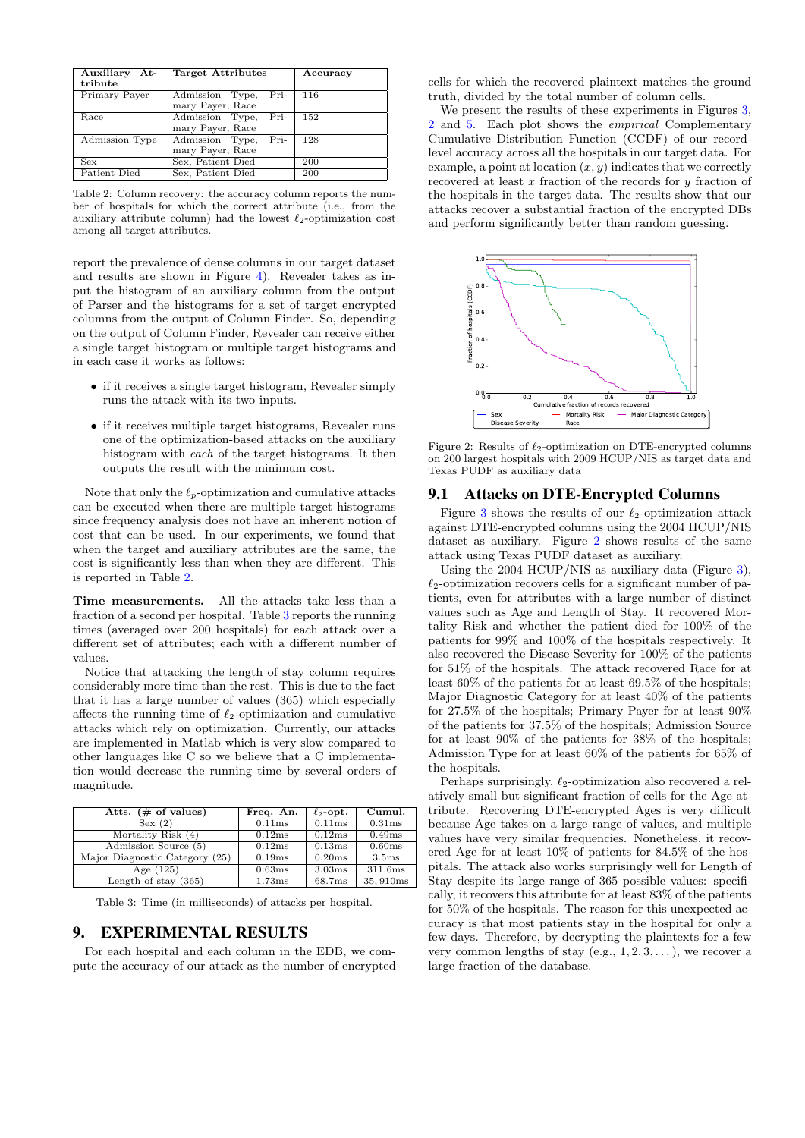<span id="page-9-1"></span>

| Auxiliary At-<br>tribute | <b>Target Attributes</b>                    | Accuracy |
|--------------------------|---------------------------------------------|----------|
| Primary Payer            | Admission Type, Pri-<br>mary Payer, Race    | 116      |
| Race                     | Admission Type, Pri-<br>mary Payer, Race    | 152      |
| Admission Type           | Admission Type,<br>Pri-<br>mary Payer, Race | 128      |
| <b>Sex</b>               | Sex. Patient Died                           | 200      |
| Patient Died             | Sex, Patient Died                           | 200      |

Table 2: Column recovery: the accuracy column reports the number of hospitals for which the correct attribute (i.e., from the auxiliary attribute column) had the lowest  $\ell_2$ -optimization cost among all target attributes.

report the prevalence of dense columns in our target dataset and results are shown in Figure [4\)](#page-10-1). Revealer takes as input the histogram of an auxiliary column from the output of Parser and the histograms for a set of target encrypted columns from the output of Column Finder. So, depending on the output of Column Finder, Revealer can receive either a single target histogram or multiple target histograms and in each case it works as follows:

- if it receives a single target histogram, Revealer simply runs the attack with its two inputs.
- if it receives multiple target histograms, Revealer runs one of the optimization-based attacks on the auxiliary histogram with each of the target histograms. It then outputs the result with the minimum cost.

Note that only the  $\ell_p$ -optimization and cumulative attacks can be executed when there are multiple target histograms since frequency analysis does not have an inherent notion of cost that can be used. In our experiments, we found that when the target and auxiliary attributes are the same, the cost is significantly less than when they are different. This is reported in Table [2.](#page-9-1)

Time measurements. All the attacks take less than a fraction of a second per hospital. Table [3](#page-9-2) reports the running times (averaged over 200 hospitals) for each attack over a different set of attributes; each with a different number of values.

Notice that attacking the length of stay column requires considerably more time than the rest. This is due to the fact that it has a large number of values (365) which especially affects the running time of  $\ell_2$ -optimization and cumulative attacks which rely on optimization. Currently, our attacks are implemented in Matlab which is very slow compared to other languages like C so we believe that a C implementation would decrease the running time by several orders of magnitude.

<span id="page-9-2"></span>

| Atts. $(\# \text{ of values})$    | Freq. An. | $\ell_2$ -opt. | Cumul.            |
|-----------------------------------|-----------|----------------|-------------------|
| Sex(2)                            | 0.11ms    | 0.11ms         | 0.31ms            |
| Mortality Risk $(4)$              | 0.12ms    | 0.12ms         | 0.49ms            |
| Admission Source (5)              | 0.12ms    | 0.13ms         | 0.60ms            |
| Major Diagnostic Category<br>(25) | 0.19ms    | 0.20ms         | 3.5 <sub>ms</sub> |
| Age $(125)$                       | 0.63ms    | 3.03ms         | 311.6ms           |
| Length of stay $(365)$            | 1.73ms    | 68.7ms         | 35, 910ms         |

Table 3: Time (in milliseconds) of attacks per hospital.

### <span id="page-9-0"></span>9. EXPERIMENTAL RESULTS

For each hospital and each column in the EDB, we compute the accuracy of our attack as the number of encrypted cells for which the recovered plaintext matches the ground truth, divided by the total number of column cells.

We present the results of these experiments in Figures 3. [2](#page-9-3) and [5.](#page-10-3) Each plot shows the empirical Complementary Cumulative Distribution Function (CCDF) of our recordlevel accuracy across all the hospitals in our target data. For example, a point at location  $(x, y)$  indicates that we correctly recovered at least  $x$  fraction of the records for  $y$  fraction of the hospitals in the target data. The results show that our attacks recover a substantial fraction of the encrypted DBs and perform significantly better than random guessing.

<span id="page-9-3"></span>

Figure 2: Results of  $\ell_2$ -optimization on DTE-encrypted columns on 200 largest hospitals with 2009 HCUP/NIS as target data and Texas PUDF as auxiliary data

#### 9.1 Attacks on DTE-Encrypted Columns

Figure [3](#page-10-2) shows the results of our  $\ell_2$ -optimization attack against DTE-encrypted columns using the 2004 HCUP/NIS dataset as auxiliary. Figure [2](#page-9-3) shows results of the same attack using Texas PUDF dataset as auxiliary.

Using the 2004 HCUP/NIS as auxiliary data (Figure [3\)](#page-10-2),  $\ell_2$ -optimization recovers cells for a significant number of patients, even for attributes with a large number of distinct values such as Age and Length of Stay. It recovered Mortality Risk and whether the patient died for 100% of the patients for 99% and 100% of the hospitals respectively. It also recovered the Disease Severity for 100% of the patients for 51% of the hospitals. The attack recovered Race for at least 60% of the patients for at least 69.5% of the hospitals; Major Diagnostic Category for at least 40% of the patients for 27.5% of the hospitals; Primary Payer for at least 90% of the patients for 37.5% of the hospitals; Admission Source for at least 90% of the patients for 38% of the hospitals; Admission Type for at least 60% of the patients for 65% of the hospitals.

Perhaps surprisingly,  $\ell_2$ -optimization also recovered a relatively small but significant fraction of cells for the Age attribute. Recovering DTE-encrypted Ages is very difficult because Age takes on a large range of values, and multiple values have very similar frequencies. Nonetheless, it recovered Age for at least 10% of patients for 84.5% of the hospitals. The attack also works surprisingly well for Length of Stay despite its large range of 365 possible values: specifically, it recovers this attribute for at least 83% of the patients for 50% of the hospitals. The reason for this unexpected accuracy is that most patients stay in the hospital for only a few days. Therefore, by decrypting the plaintexts for a few very common lengths of stay (e.g.,  $1, 2, 3, \ldots$  ), we recover a large fraction of the database.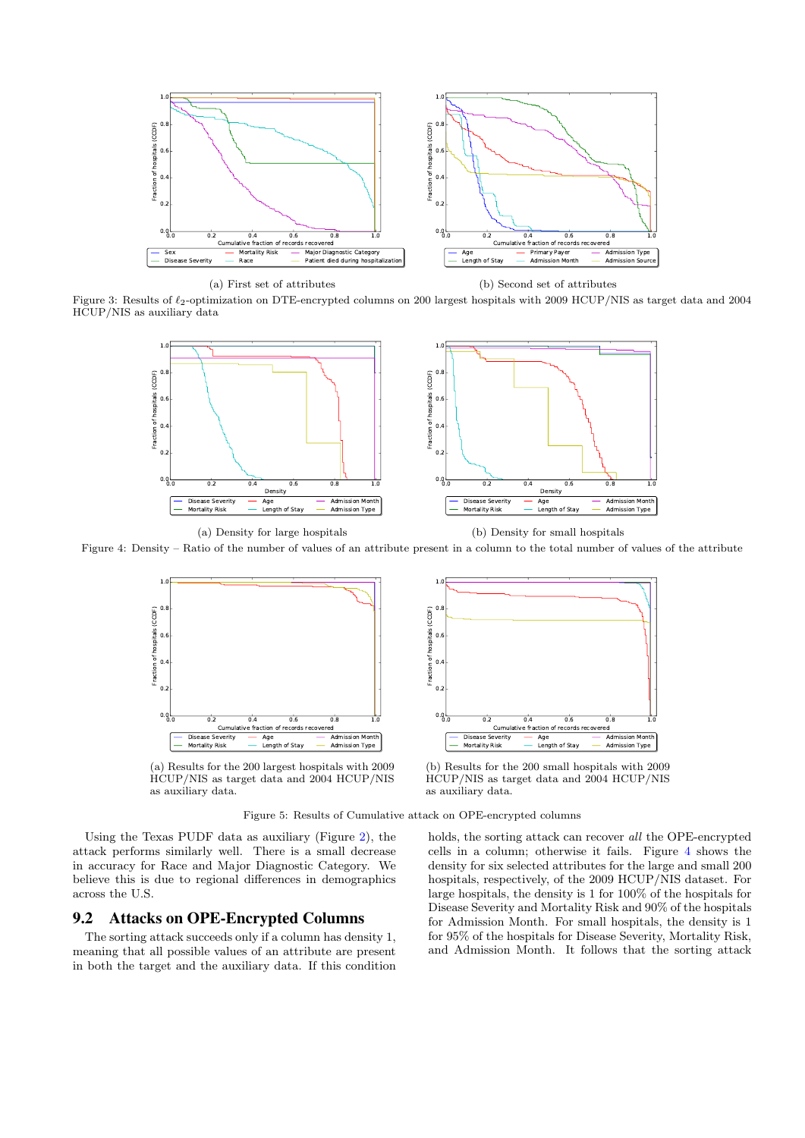<span id="page-10-2"></span>

(a) First set of attributes

(b) Second set of attributes

<span id="page-10-1"></span>Figure 3: Results of  $\ell_2$ -optimization on DTE-encrypted columns on 200 largest hospitals with 2009 HCUP/NIS as target data and 2004 HCUP/NIS as auxiliary data



(a) Density for large hospitals

(b) Density for small hospitals

<span id="page-10-3"></span>Figure 4: Density – Ratio of the number of values of an attribute present in a column to the total number of values of the attribute



(a) Results for the 200 largest hospitals with 2009 HCUP/NIS as target data and 2004 HCUP/NIS as auxiliary data.



(b) Results for the 200 small hospitals with 2009 HCUP/NIS as target data and 2004 HCUP/NIS as auxiliary data.

Figure 5: Results of Cumulative attack on OPE-encrypted columns

Using the Texas PUDF data as auxiliary (Figure [2\)](#page-9-3), the attack performs similarly well. There is a small decrease in accuracy for Race and Major Diagnostic Category. We believe this is due to regional differences in demographics across the U.S.

#### <span id="page-10-0"></span>9.2 Attacks on OPE-Encrypted Columns

The sorting attack succeeds only if a column has density 1, meaning that all possible values of an attribute are present in both the target and the auxiliary data. If this condition holds, the sorting attack can recover all the OPE-encrypted cells in a column; otherwise it fails. Figure [4](#page-10-1) shows the density for six selected attributes for the large and small 200 hospitals, respectively, of the 2009 HCUP/NIS dataset. For large hospitals, the density is 1 for 100% of the hospitals for Disease Severity and Mortality Risk and 90% of the hospitals for Admission Month. For small hospitals, the density is 1 for 95% of the hospitals for Disease Severity, Mortality Risk, and Admission Month. It follows that the sorting attack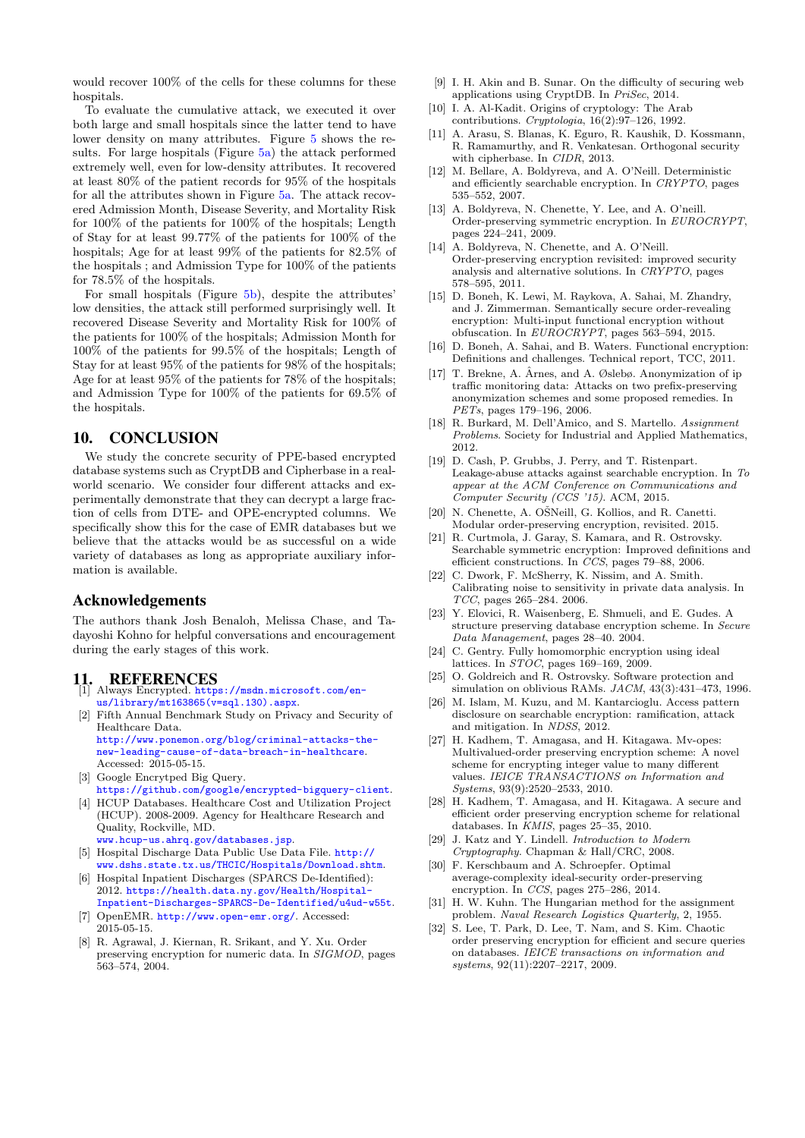would recover 100% of the cells for these columns for these hospitals.

To evaluate the cumulative attack, we executed it over both large and small hospitals since the latter tend to have lower density on many attributes. Figure [5](#page-10-3) shows the results. For large hospitals (Figure [5a\)](#page-10-3) the attack performed extremely well, even for low-density attributes. It recovered at least 80% of the patient records for 95% of the hospitals for all the attributes shown in Figure [5a.](#page-10-3) The attack recovered Admission Month, Disease Severity, and Mortality Risk for 100% of the patients for 100% of the hospitals; Length of Stay for at least 99.77% of the patients for 100% of the hospitals; Age for at least 99% of the patients for 82.5% of the hospitals ; and Admission Type for 100% of the patients for 78.5% of the hospitals.

For small hospitals (Figure [5b\)](#page-10-3), despite the attributes' low densities, the attack still performed surprisingly well. It recovered Disease Severity and Mortality Risk for 100% of the patients for 100% of the hospitals; Admission Month for 100% of the patients for 99.5% of the hospitals; Length of Stay for at least 95% of the patients for 98% of the hospitals; Age for at least 95% of the patients for 78% of the hospitals; and Admission Type for 100% of the patients for 69.5% of the hospitals.

# 10. CONCLUSION

We study the concrete security of PPE-based encrypted database systems such as CryptDB and Cipherbase in a realworld scenario. We consider four different attacks and experimentally demonstrate that they can decrypt a large fraction of cells from DTE- and OPE-encrypted columns. We specifically show this for the case of EMR databases but we believe that the attacks would be as successful on a wide variety of databases as long as appropriate auxiliary information is available.

#### Acknowledgements

The authors thank Josh Benaloh, Melissa Chase, and Tadayoshi Kohno for helpful conversations and encouragement during the early stages of this work.

- <span id="page-11-9"></span>11. REFERENCES [1] Always Encrypted. [https://msdn.microsoft.com/en](https://msdn.microsoft.com/en-us/library/mt163865(v=sql.130).aspx)us/library/mt163865( $v=$ sql.130).aspx.
- <span id="page-11-27"></span>[2] Fifth Annual Benchmark Study on Privacy and Security of Healthcare Data. [http://www.ponemon.org/blog/criminal-attacks-the](http://www.ponemon.org/blog/criminal-attacks-the-new-leading-cause-of-data-breach-in-healthcare)[new-leading-cause-of-data-breach-in-healthcare](http://www.ponemon.org/blog/criminal-attacks-the-new-leading-cause-of-data-breach-in-healthcare). Accessed: 2015-05-15.
- <span id="page-11-8"></span>[3] Google Encrytped Big Query.
- <https://github.com/google/encrypted-bigquery-client>. [4] HCUP Databases. Healthcare Cost and Utilization Project
- <span id="page-11-28"></span>(HCUP). 2008-2009. Agency for Healthcare Research and Quality, Rockville, MD. [www.hcup-us.ahrq.gov/databases.jsp]( www.hcup-us.ahrq.gov/databases.jsp).
- <span id="page-11-30"></span>[5] Hospital Discharge Data Public Use Data File. [http://](http://www.dshs.state.tx.us/THCIC/Hospitals/Download.shtm) [www.dshs.state.tx.us/THCIC/Hospitals/Download.shtm](http://www.dshs.state.tx.us/THCIC/Hospitals/Download.shtm).
- <span id="page-11-31"></span>[6] Hospital Inpatient Discharges (SPARCS De-Identified): 2012. [https://health.data.ny.gov/Health/Hospital-](https://health.data.ny.gov/Health/Hospital-Inpatient-Discharges-SPARCS-De-Identified/u4ud-w55t)
- <span id="page-11-29"></span>[Inpatient-Discharges-SPARCS-De-Identified/u4ud-w55t](https://health.data.ny.gov/Health/Hospital-Inpatient-Discharges-SPARCS-De-Identified/u4ud-w55t). OpenEMR. <http://www.open-emr.org/>. Accessed: 2015-05-15.
- <span id="page-11-11"></span>[8] R. Agrawal, J. Kiernan, R. Srikant, and Y. Xu. Order preserving encryption for numeric data. In SIGMOD, pages 563–574, 2004.
- <span id="page-11-15"></span>[9] I. H. Akin and B. Sunar. On the difficulty of securing web applications using CryptDB. In PriSec, 2014.
- <span id="page-11-16"></span>[10] I. A. Al-Kadit. Origins of cryptology: The Arab contributions. Cryptologia, 16(2):97–126, 1992.
- <span id="page-11-7"></span>[11] A. Arasu, S. Blanas, K. Eguro, R. Kaushik, D. Kossmann, R. Ramamurthy, and R. Venkatesan. Orthogonal security with cipherbase. In CIDR, 2013.
- <span id="page-11-4"></span>[12] M. Bellare, A. Boldyreva, and A. O'Neill. Deterministic and efficiently searchable encryption. In CRYPTO, pages 535–552, 2007.
- <span id="page-11-5"></span>[13] A. Boldyreva, N. Chenette, Y. Lee, and A. O'neill. Order-preserving symmetric encryption. In EUROCRYPT, pages 224–241, 2009.
- <span id="page-11-12"></span>[14] A. Boldyreva, N. Chenette, and A. O'Neill. Order-preserving encryption revisited: improved security analysis and alternative solutions. In CRYPTO, pages 578–595, 2011.
- <span id="page-11-14"></span>[15] D. Boneh, K. Lewi, M. Raykova, A. Sahai, M. Zhandry, and J. Zimmerman. Semantically secure order-revealing encryption: Multi-input functional encryption without obfuscation. In EUROCRYPT, pages 563–594, 2015.
- <span id="page-11-3"></span>[16] D. Boneh, A. Sahai, and B. Waters. Functional encryption: Definitions and challenges. Technical report, TCC, 2011.
- <span id="page-11-17"></span>[17] T. Brekne, A.  $\hat{A}$ rnes, and A.  $\hat{Øs}$ lebø. Anonymization of ip traffic monitoring data: Attacks on two prefix-preserving anonymization schemes and some proposed remedies. In PETs, pages 179–196, 2006.
- <span id="page-11-25"></span>[18] R. Burkard, M. Dell'Amico, and S. Martello. Assignment Problems. Society for Industrial and Applied Mathematics, 2012.
- <span id="page-11-18"></span>[19] D. Cash, P. Grubbs, J. Perry, and T. Ristenpart. Leakage-abuse attacks against searchable encryption. In To appear at the ACM Conference on Communications and Computer Security (CCS '15). ACM, 2015.
- <span id="page-11-19"></span>[20] N. Chenette, A. OŠNeill, G. Kollios, and R. Canetti. Modular order-preserving encryption, revisited. 2015.
- <span id="page-11-0"></span>[21] R. Curtmola, J. Garay, S. Kamara, and R. Ostrovsky. Searchable symmetric encryption: Improved definitions and efficient constructions. In CCS, pages 79–88, 2006.
- <span id="page-11-10"></span>[22] C. Dwork, F. McSherry, K. Nissim, and A. Smith. Calibrating noise to sensitivity in private data analysis. In TCC, pages 265–284. 2006.
- <span id="page-11-20"></span>[23] Y. Elovici, R. Waisenberg, E. Shmueli, and E. Gudes. A structure preserving database encryption scheme. In Secure Data Management, pages 28–40. 2004.
- <span id="page-11-1"></span>[24] C. Gentry. Fully homomorphic encryption using ideal lattices. In STOC, pages 169–169, 2009.
- <span id="page-11-2"></span>[25] O. Goldreich and R. Ostrovsky. Software protection and simulation on oblivious RAMs. JACM, 43(3):431–473, 1996.
- <span id="page-11-6"></span>[26] M. Islam, M. Kuzu, and M. Kantarcioglu. Access pattern disclosure on searchable encryption: ramification, attack and mitigation. In NDSS, 2012.
- <span id="page-11-21"></span>[27] H. Kadhem, T. Amagasa, and H. Kitagawa. Mv-opes: Multivalued-order preserving encryption scheme: A novel scheme for encrypting integer value to many different values. IEICE TRANSACTIONS on Information and Systems, 93(9):2520–2533, 2010.
- <span id="page-11-22"></span>[28] H. Kadhem, T. Amagasa, and H. Kitagawa. A secure and efficient order preserving encryption scheme for relational databases. In KMIS, pages 25–35, 2010.
- <span id="page-11-24"></span>[29] J. Katz and Y. Lindell. Introduction to Modern Cryptography. Chapman & Hall/CRC, 2008.
- <span id="page-11-13"></span>[30] F. Kerschbaum and A. Schroepfer. Optimal average-complexity ideal-security order-preserving encryption. In CCS, pages 275–286, 2014.
- <span id="page-11-26"></span>[31] H. W. Kuhn. The Hungarian method for the assignment problem. Naval Research Logistics Quarterly, 2, 1955.
- <span id="page-11-23"></span>[32] S. Lee, T. Park, D. Lee, T. Nam, and S. Kim. Chaotic order preserving encryption for efficient and secure queries on databases. IEICE transactions on information and systems, 92(11):2207–2217, 2009.